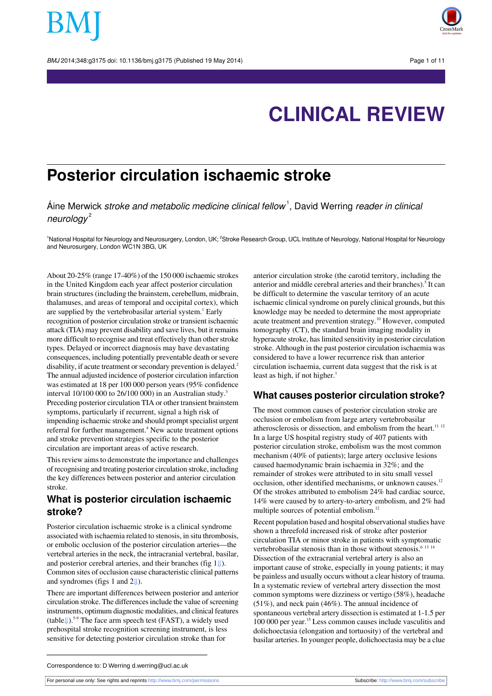BMJ 2014:348:g3175 doi: 10.1136/bmi.g3175 (Published 19 May 2014) Page 1 of 11



# **CLINICAL REVIEW**

# **Posterior circulation ischaemic stroke**

Áine Merwick *stroke and metabolic medicine clinical fellow*<sup>1</sup>, David Werring *reader in clinica*  $neurology<sup>2</sup>$ 

<sup>1</sup>National Hospital for Neurology and Neurosurgery, London, UK; <sup>2</sup>Stroke Research Group, UCL Institute of Neurology, National Hospital for Neurology and Neurosurgery, London WC1N 3BG, UK

About 20-25% (range 17-40%) of the 150 000 ischaemic strokes in the United Kingdom each year affect posterior circulation brain structures(including the brainstem, cerebellum, midbrain, thalamuses, and areas of temporal and occipital cortex), which are supplied by the vertebrobasilar arterial system.<sup>1</sup> Early recognition of posterior circulation stroke or transient ischaemic attack (TIA) may prevent disability and save lives, but it remains more difficult to recognise and treat effectively than other stroke types. Delayed or incorrect diagnosis may have devastating consequences, including potentially preventable death or severe disability, if acute treatment or secondary prevention is delayed.<sup>2</sup> The annual adjusted incidence of posterior circulation infarction was estimated at 18 per 100 000 person years (95% confidence interval  $10/100 000$  to  $26/100 000$ ) in an Australian study.<sup>3</sup> Preceding posterior circulation TIA or other transient brainstem symptoms, particularly if recurrent, signal a high risk of impending ischaemic stroke and should prompt specialist urgent referral for further management.<sup>4</sup> New acute treatment options and stroke prevention strategies specific to the posterior circulation are important areas of active research.

This review aims to demonstrate the importance and challenges of recognising and treating posterior circulation stroke, including the key differences between posterior and anterior circulation stroke.

# **What is posterior circulation ischaemic stroke?**

Posterior circulation ischaemic stroke is a clinical syndrome associated with ischaemia related to stenosis, in situ thrombosis, or embolic occlusion of the posterior circulation arteries—the vertebral arteries in the neck, the intracranial vertebral, basilar, and posterior cerebral arteries, and their branches (fig  $1 \downarrow$ ). Common sites of occlusion cause characteristic clinical patterns and syndromes (figs 1 and 2[⇓\)](#page-9-1).

There are important differences between posterior and anterior circulation stroke. The differences include the value of screening instruments, optimum diagnostic modalities, and clinical features (table[⇓\)](#page-8-0).5-9 The face arm speech test (FAST), a widely used prehospital stroke recognition screening instrument, is less sensitive for detecting posterior circulation stroke than for

anterior circulation stroke (the carotid territory, including the anterior and middle cerebral arteries and their branches).<sup>5</sup> It can be difficult to determine the vascular territory of an acute ischaemic clinical syndrome on purely clinical grounds, but this knowledge may be needed to determine the most appropriate acute treatment and prevention strategy.<sup>10</sup> However, computed tomography (CT), the standard brain imaging modality in hyperacute stroke, haslimited sensitivity in posterior circulation stroke. Although in the past posterior circulation ischaemia was considered to have a lower recurrence risk than anterior circulation ischaemia, current data suggest that the risk is at least as high, if not higher. $<sup>1</sup>$ </sup>

## **What causes posterior circulation stroke?**

The most common causes of posterior circulation stroke are occlusion or embolism from large artery vertebrobasilar atherosclerosis or dissection, and embolism from the heart.<sup>11</sup> <sup>12</sup> In a large US hospital registry study of 407 patients with posterior circulation stroke, embolism was the most common mechanism (40% of patients); large artery occlusive lesions caused haemodynamic brain ischaemia in 32%; and the remainder of strokes were attributed to in situ small vessel occlusion, other identified mechanisms, or unknown causes.<sup>12</sup> Of the strokes attributed to embolism 24% had cardiac source, 14% were caused by to artery-to-artery embolism, and 2% had multiple sources of potential embolism.<sup>12</sup>

Recent population based and hospital observational studies have shown a threefold increased risk of stroke after posterior circulation TIA or minor stroke in patients with symptomatic vertebrobasilar stenosis than in those without stenosis.<sup>6 13 14</sup> Dissection of the extracranial vertebral artery is also an important cause of stroke, especially in young patients; it may be painless and usually occurs without a clear history of trauma. In a systematic review of vertebral artery dissection the most common symptoms were dizziness or vertigo (58%), headache (51%), and neck pain (46%). The annual incidence of spontaneous vertebral artery dissection is estimated at 1-1.5 per 100 000 per year.<sup>15</sup> Less common causes include vasculitis and dolichoectasia (elongation and tortuosity) of the vertebral and basilar arteries. In younger people, dolichoectasia may be a clue

For personal use only: See rights and reprints<http://www.bmj.com/permissions> Subscribe: <http://www.bmj.com/subscribe>

Correspondence to: D Werring d.werring@ucl.ac.uk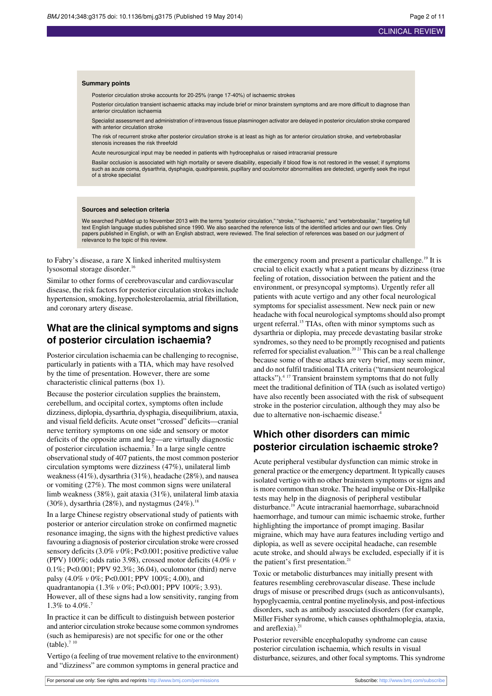#### **Summary points**

Posterior circulation stroke accounts for 20-25% (range 17-40%) of ischaemic strokes

Posterior circulation transient ischaemic attacks may include brief or minor brainstem symptoms and are more difficult to diagnose than anterior circulation ischaemia

Specialist assessment and administration of intravenous tissue plasminogen activator are delayed in posterior circulation stroke compared with anterior circulation stroke

The risk of recurrent stroke after posterior circulation stroke is at least as high as for anterior circulation stroke, and vertebrobasilar stenosis increases the risk threefold

Acute neurosurgical input may be needed in patients with hydrocephalus or raised intracranial pressure

Basilar occlusion is associated with high mortality or severe disability, especially if blood flow is not restored in the vessel; if symptoms such as acute coma, dysarthria, dysphagia, quadriparesis, pupillary and oculomotor abnormalities are detected, urgently seek the input of a stroke specialist

#### **Sources and selection criteria**

We searched PubMed up to November 2013 with the terms "posterior circulation," "stroke," "ischaemic," and "vertebrobasilar," targeting full text English language studies published since 1990. We also searched the reference lists of the identified articles and our own files. Only papers published in English, or with an English abstract, were reviewed. The final selection of references was based on our judgment of relevance to the topic of this review.

to Fabry's disease, a rare X linked inherited multisystem lysosomal storage disorder.<sup>16</sup>

Similar to other forms of cerebrovascular and cardiovascular disease, the risk factors for posterior circulation strokes include hypertension, smoking, hypercholesterolaemia, atrial fibrillation, and coronary artery disease.

## **What are the clinical symptoms and signs of posterior circulation ischaemia?**

Posterior circulation ischaemia can be challenging to recognise, particularly in patients with a TIA, which may have resolved by the time of presentation. However, there are some characteristic clinical patterns (box 1).

Because the posterior circulation supplies the brainstem, cerebellum, and occipital cortex, symptoms often include dizziness, diplopia, dysarthria, dysphagia, disequilibrium, ataxia, and visual field deficits. Acute onset "crossed" deficits—cranial nerve territory symptoms on one side and sensory or motor deficits of the opposite arm and leg—are virtually diagnostic of posterior circulation ischaemia.<sup>7</sup> In a large single centre observational study of 407 patients, the most common posterior circulation symptoms were dizziness (47%), unilateral limb weakness(41%), dysarthria (31%), headache (28%), and nausea or vomiting (27%). The most common signs were unilateral limb weakness (38%), gait ataxia (31%), unilateral limb ataxia (30%), dysarthria (28%), and nystagmus (24%).<sup>18</sup>

In a large Chinese registry observational study of patients with posterior or anterior circulation stroke on confirmed magnetic resonance imaging, the signs with the highest predictive values favouring a diagnosis of posterior circulation stroke were crossed sensory deficits(3.0% *v* 0%; P<0.001; positive predictive value (PPV) 100%; odds ratio 3.98), crossed motor deficits (4.0% *v* 0.1%; P<0.001; PPV 92.3%; 36.04), oculomotor (third) nerve palsy (4.0% *v* 0%; P<0.001; PPV 100%; 4.00), and quadrantanopia (1.3% *v* 0%; P<0.001; PPV 100%; 3.93). However, all of these signs had a low sensitivity, ranging from 1.3% to  $4.0\%$ .<sup>7</sup>

In practice it can be difficult to distinguish between posterior and anterior circulation stroke because some common syndromes (such as hemiparesis) are not specific for one or the other  $(table).^{710}$ 

Vertigo (a feeling of true movement relative to the environment) and "dizziness" are common symptoms in general practice and the emergency room and present a particular challenge.<sup>19</sup> It is crucial to elicit exactly what a patient means by dizziness (true feeling of rotation, dissociation between the patient and the environment, or presyncopal symptoms). Urgently refer all patients with acute vertigo and any other focal neurological symptoms for specialist assessment. New neck pain or new headache with focal neurological symptoms should also prompt urgent referral.<sup>15</sup> TIAs, often with minor symptoms such as dysarthria or diplopia, may precede devastating basilar stroke syndromes, so they need to be promptly recognised and patients referred for specialist evaluation.<sup>20 21</sup> This can be a real challenge because some of these attacks are very brief, may seem minor, and do not fulfil traditional TIA criteria ("transient neurological attacks").<sup>4</sup> <sup>17</sup> Transient brainstem symptoms that do not fully meet the traditional definition of TIA (such as isolated vertigo) have also recently been associated with the risk of subsequent stroke in the posterior circulation, although they may also be due to alternative non-ischaemic disease.<sup>4</sup>

## **Which other disorders can mimic posterior circulation ischaemic stroke?**

Acute peripheral vestibular dysfunction can mimic stroke in general practice or the emergency department. It typically causes isolated vertigo with no other brainstem symptoms or signs and is more common than stroke. The head impulse or Dix-Hallpike tests may help in the diagnosis of peripheral vestibular disturbance.<sup>19</sup> Acute intracranial haemorrhage, subarachnoid haemorrhage, and tumour can mimic ischaemic stroke, further highlighting the importance of prompt imaging. Basilar migraine, which may have aura features including vertigo and diplopia, as well as severe occipital headache, can resemble acute stroke, and should always be excluded, especially if it is the patient's first presentation.<sup>21</sup>

Toxic or metabolic disturbances may initially present with features resembling cerebrovascular disease. These include drugs of misuse or prescribed drugs (such as anticonvulsants), hypoglycaemia, central pontine myelinolysis, and post-infectious disorders, such as antibody associated disorders (for example, Miller Fisher syndrome, which causes ophthalmoplegia, ataxia, and areflexia). $21$ 

Posterior reversible encephalopathy syndrome can cause posterior circulation ischaemia, which results in visual disturbance, seizures, and other focal symptoms. This syndrome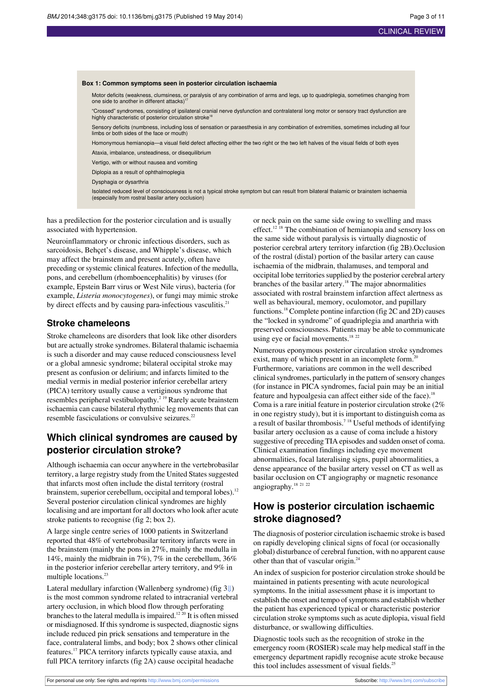#### **Box 1: Common symptoms seen in posterior circulation ischaemia**

Motor deficits (weakness, clumsiness, or paralysis of any combination of arms and legs, up to quadriplegia, sometimes changing from one side to another in different attacks)<sup>1</sup>

"Crossed" syndromes, consisting of ipsilateral cranial nerve dysfunction and contralateral long motor or sensory tract dysfunction are highly characteristic of posterior circulation stroke<sup>18</sup>

Sensory deficits (numbness, including loss of sensation or paraesthesia in any combination of extremities, sometimes including all four limbs or both sides of the face or mouth)

Homonymous hemianopia—a visual field defect affecting either the two right or the two left halves of the visual fields of both eyes Ataxia, imbalance, unsteadiness, or disequilibrium

Vertigo, with or without nausea and vomiting

Diplopia as a result of ophthalmoplegia

Dysphagia or dysarthria

Isolated reduced level of consciousness is not a typical stroke symptom but can result from bilateral thalamic or brainstem ischaemia (especially from rostral basilar artery occlusion)

has a predilection for the posterior circulation and is usually associated with hypertension.

Neuroinflammatory or chronic infectious disorders, such as sarcoidosis, Behçet's disease, and Whipple's disease, which may affect the brainstem and present acutely, often have preceding or systemic clinical features. Infection of the medulla, pons, and cerebellum (rhomboencephalitis) by viruses (for example, Epstein Barr virus or West Nile virus), bacteria (for example, *Listeria monocytogenes*), or fungi may mimic stroke by direct effects and by causing para-infectious vasculitis.<sup>21</sup>

## **Stroke chameleons**

Stroke chameleons are disorders that look like other disorders but are actually stroke syndromes. Bilateral thalamic ischaemia is such a disorder and may cause reduced consciousness level or a global amnesic syndrome; bilateral occipital stroke may present as confusion or delirium; and infarcts limited to the medial vermis in medial posterior inferior cerebellar artery (PICA) territory usually cause a vertiginous syndrome that resembles peripheral vestibulopathy.<sup>2</sup> <sup>19</sup> Rarely acute brainstem ischaemia can cause bilateral rhythmic leg movements that can resemble fasciculations or convulsive seizures.<sup>22</sup>

# **Which clinical syndromes are caused by posterior circulation stroke?**

Although ischaemia can occur anywhere in the vertebrobasilar territory, a large registry study from the United States suggested that infarcts most often include the distal territory (rostral brainstem, superior cerebellum, occipital and temporal lobes).<sup>12</sup> Several posterior circulation clinical syndromes are highly localising and are important for all doctors who look after acute stroke patients to recognise (fig 2; box 2).

A large single centre series of 1000 patients in Switzerland reported that 48% of vertebrobasilar territory infarcts were in the brainstem (mainly the pons in 27%, mainly the medulla in 14%, mainly the midbrain in 7%), 7% in the cerebellum, 36% in the posterior inferior cerebellar artery territory, and 9% in multiple locations.<sup>23</sup>

Lateral medullary infarction (Wallenberg syndrome) (fig [3⇓](#page-10-0)) is the most common syndrome related to intracranial vertebral artery occlusion, in which blood flow through perforating branches to the lateral medulla is impaired.<sup>12 20</sup> It is often missed or misdiagnosed. If this syndrome is suspected, diagnostic signs include reduced pin prick sensations and temperature in the face, contralateral limbs, and body; box 2 shows other clinical features.<sup>17</sup> PICA territory infarcts typically cause ataxia, and full PICA territory infarcts (fig 2A) cause occipital headache

or neck pain on the same side owing to swelling and mass effect.<sup>12 18</sup> The combination of hemianopia and sensory loss on the same side without paralysis is virtually diagnostic of posterior cerebral artery territory infarction (fig 2B).Occlusion of the rostral (distal) portion of the basilar artery can cause ischaemia of the midbrain, thalamuses, and temporal and occipital lobe territories supplied by the posterior cerebral artery branches of the basilar artery.<sup>18</sup> The major abnormalities associated with rostral brainstem infarction affect alertness as well as behavioural, memory, oculomotor, and pupillary functions.<sup>18</sup> Complete pontine infarction (fig 2C and 2D) causes the "locked in syndrome" of quadriplegia and anarthria with preserved consciousness. Patients may be able to communicate using eye or facial movements.<sup>18 22</sup>

Numerous eponymous posterior circulation stroke syndromes exist, many of which present in an incomplete form.<sup>20</sup> Furthermore, variations are common in the well described clinical syndromes, particularly in the pattern of sensory changes (for instance in PICA syndromes, facial pain may be an initial feature and hypoalgesia can affect either side of the face).<sup>18</sup> Coma is a rare initial feature in posterior circulation stroke (2% in one registry study), but it is important to distinguish coma as a result of basilar thrombosis.<sup>7</sup><sup>18</sup> Useful methods of identifying basilar artery occlusion as a cause of coma include a history suggestive of preceding TIA episodes and sudden onset of coma. Clinical examination findings including eye movement abnormalities, focal lateralising signs, pupil abnormalities, a dense appearance of the basilar artery vessel on CT as well as basilar occlusion on CT angiography or magnetic resonance angiography.<sup>18 21 22</sup>

# **How is posterior circulation ischaemic stroke diagnosed?**

The diagnosis of posterior circulation ischaemic stroke is based on rapidly developing clinical signs of focal (or occasionally global) disturbance of cerebral function, with no apparent cause other than that of vascular origin.<sup>24</sup>

An index of suspicion for posterior circulation stroke should be maintained in patients presenting with acute neurological symptoms. In the initial assessment phase it is important to establish the onset and tempo of symptoms and establish whether the patient has experienced typical or characteristic posterior circulation stroke symptoms such as acute diplopia, visual field disturbance, or swallowing difficulties.

Diagnostic tools such as the recognition of stroke in the emergency room (ROSIER) scale may help medical staff in the emergency department rapidly recognise acute stroke because this tool includes assessment of visual fields. $25$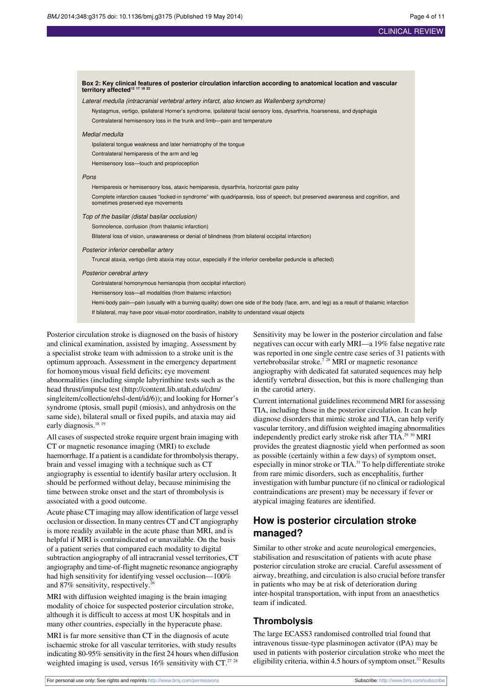#### CLINICAL REVIEW

| Lateral medulla (intracranial vertebral artery infarct, also known as Wallenberg syndrome)                                                                          |
|---------------------------------------------------------------------------------------------------------------------------------------------------------------------|
| Nystagmus, vertigo, ipsilateral Horner's syndrome, ipsilateral facial sensory loss, dysarthria, hoarseness, and dysphagia                                           |
| Contralateral hemisensory loss in the trunk and limb—pain and temperature                                                                                           |
| Medial medulla                                                                                                                                                      |
| Ipsilateral tonque weakness and later hemiatrophy of the tonque                                                                                                     |
| Contralateral hemiparesis of the arm and leg                                                                                                                        |
| Hemisensory loss-touch and proprioception                                                                                                                           |
| Pons                                                                                                                                                                |
| Hemiparesis or hemisensory loss, ataxic hemiparesis, dysarthria, horizontal gaze palsy                                                                              |
| Complete infarction causes "locked-in syndrome" with quadriparesis, loss of speech, but preserved awareness and cognition, and<br>sometimes preserved eye movements |
| Top of the basilar (distal basilar occlusion)                                                                                                                       |
| Somnolence, confusion (from thalamic infarction)                                                                                                                    |
| Bilateral loss of vision, unawareness or denial of blindness (from bilateral occipital infarction)                                                                  |
| Posterior inferior cerebellar artery                                                                                                                                |
| Truncal ataxia, vertigo (limb ataxia may occur, especially if the inferior cerebellar peduncle is affected)                                                         |
| Posterior cerebral artery                                                                                                                                           |
| Contralateral homonymous hemianopia (from occipital infarction)                                                                                                     |
| Hemisensory loss-all modalities (from thalamic infarction)                                                                                                          |
| Hemi-body pain—pain (usually with a burning quality) down one side of the body (face, arm, and leg) as a result of thalamic infarction                              |
| If bilateral, may have poor visual-motor coordination, inability to understand visual objects                                                                       |

Posterior circulation stroke is diagnosed on the basis of history and clinical examination, assisted by imaging. Assessment by a specialist stroke team with admission to a stroke unit is the optimum approach. Assessment in the emergency department for homonymous visual field deficits; eye movement abnormalities (including simple labyrinthine tests such as the head thrust/impulse test [\(http://content.lib.utah.edu/cdm/](http://content.lib.utah.edu/cdm/singleitem/collection/ehsl-dent/id/6) [singleitem/collection/ehsl-dent/id/6](http://content.lib.utah.edu/cdm/singleitem/collection/ehsl-dent/id/6))); and looking for Horner's syndrome (ptosis, small pupil (miosis), and anhydrosis on the same side), bilateral small or fixed pupils, and ataxia may aid early diagnosis.<sup>18</sup><sup>19</sup>

All cases of suspected stroke require urgent brain imaging with CT or magnetic resonance imaging (MRI) to exclude haemorrhage. If a patient is a candidate for thrombolysis therapy, brain and vessel imaging with a technique such as CT angiography is essential to identify basilar artery occlusion. It should be performed without delay, because minimising the time between stroke onset and the start of thrombolysis is associated with a good outcome.

Acute phase CT imaging may allow identification of large vessel occlusion or dissection. In many centres CT and CT angiography is more readily available in the acute phase than MRI, and is helpful if MRI is contraindicated or unavailable. On the basis of a patient series that compared each modality to digital subtraction angiography of all intracranial vessel territories, CT angiography and time-of-flight magnetic resonance angiography had high sensitivity for identifying vessel occlusion—100% and 87% sensitivity, respectively.<sup>2</sup>

MRI with diffusion weighted imaging is the brain imaging modality of choice for suspected posterior circulation stroke, although it is difficult to access at most UK hospitals and in many other countries, especially in the hyperacute phase.

MRI is far more sensitive than CT in the diagnosis of acute ischaemic stroke for all vascular territories, with study results indicating 80-95% sensitivity in the first 24 hours when diffusion weighted imaging is used, versus  $16\%$  sensitivity with CT.<sup>27 28</sup>

Sensitivity may be lower in the posterior circulation and false negatives can occur with early MRI—a 19% false negative rate was reported in one single centre case series of 31 patients with vertebrobasilar stroke.<sup>7</sup> <sup>28</sup> MRI or magnetic resonance angiography with dedicated fat saturated sequences may help identify vertebral dissection, but this is more challenging than in the carotid artery.

Current international guidelines recommend MRI for assessing TIA, including those in the posterior circulation. It can help diagnose disorders that mimic stroke and TIA, can help verify vascular territory, and diffusion weighted imaging abnormalities independently predict early stroke risk after TIA.<sup>29 30</sup> MRI provides the greatest diagnostic yield when performed as soon as possible (certainly within a few days) of symptom onset, especially in minor stroke or TIA.<sup>31</sup> To help differentiate stroke from rare mimic disorders, such as encephalitis, further investigation with lumbar puncture (if no clinical or radiological contraindications are present) may be necessary if fever or atypical imaging features are identified.

# **How is posterior circulation stroke managed?**

Similar to other stroke and acute neurological emergencies, stabilisation and resuscitation of patients with acute phase posterior circulation stroke are crucial. Careful assessment of airway, breathing, and circulation is also crucial before transfer in patients who may be at risk of deterioration during inter-hospital transportation, with input from an anaesthetics team if indicated.

## **Thrombolysis**

The large ECASS3 randomised controlled trial found that intravenous tissue-type plasminogen activator (tPA) may be used in patients with posterior circulation stroke who meet the eligibility criteria, within 4.5 hours of symptom onset. $32$  Results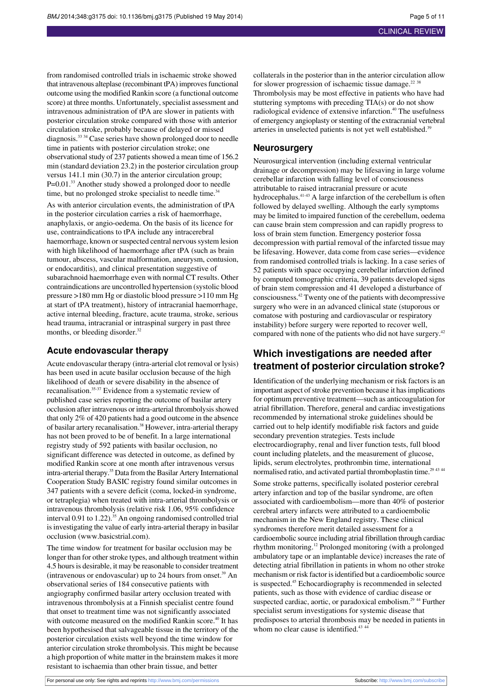from randomised controlled trials in ischaemic stroke showed that intravenous alteplase (recombinant tPA) improves functional outcome using the modified Rankin score (a functional outcome score) at three months. Unfortunately, specialist assessment and intravenous administration of tPA are slower in patients with posterior circulation stroke compared with those with anterior circulation stroke, probably because of delayed or missed diagnosis.<sup>33</sup> <sup>34</sup> Case series have shown prolonged door to needle time in patients with posterior circulation stroke; one observational study of 237 patients showed a mean time of 156.2 min (standard deviation 23.2) in the posterior circulation group versus 141.1 min (30.7) in the anterior circulation group; P=0.01.<sup>33</sup> Another study showed a prolonged door to needle time, but no prolonged stroke specialist to needle time.<sup>34</sup>

As with anterior circulation events, the administration of tPA in the posterior circulation carries a risk of haemorrhage, anaphylaxis, or angio-oedema. On the basis of its licence for use, contraindications to tPA include any intracerebral haemorrhage, known or suspected central nervous system lesion with high likelihood of haemorrhage after tPA (such as brain tumour, abscess, vascular malformation, aneurysm, contusion, or endocarditis), and clinical presentation suggestive of subarachnoid haemorrhage even with normal CT results. Other contraindications are uncontrolled hypertension (systolic blood pressure >180 mm Hg or diastolic blood pressure >110 mm Hg at start of tPA treatment), history of intracranial haemorrhage, active internal bleeding, fracture, acute trauma, stroke, serious head trauma, intracranial or intraspinal surgery in past three months, or bleeding disorder.<sup>32</sup>

## **Acute endovascular therapy**

Acute endovascular therapy (intra-arterial clot removal or lysis) has been used in acute basilar occlusion because of the high likelihood of death or severe disability in the absence of recanalisation.35-37 Evidence from a systematic review of published case series reporting the outcome of basilar artery occlusion after intravenous or intra-arterial thrombolysis showed that only 2% of 420 patients had a good outcome in the absence of basilar artery recanalisation.<sup>38</sup> However, intra-arterial therapy has not been proved to be of benefit. In a large international registry study of 592 patients with basilar occlusion, no significant difference was detected in outcome, as defined by modified Rankin score at one month after intravenous versus intra-arterial therapy.<sup>35</sup> Data from the Basilar Artery International Cooperation Study BASIC registry found similar outcomes in 347 patients with a severe deficit (coma, locked-in syndrome, or tetraplegia) when treated with intra-arterial thrombolysis or intravenous thrombolysis (relative risk 1.06, 95% confidence interval 0.91 to 1.22).<sup>35</sup> An ongoing randomised controlled trial is investigating the value of early intra-arterial therapy in basilar occlusion ([www.basicstrial.com](http://www.basicstrial.com/)).

The time window for treatment for basilar occlusion may be longer than for other stroke types, and although treatment within 4.5 hours is desirable, it may be reasonable to consider treatment (intravenous or endovascular) up to 24 hours from onset.<sup>39</sup> An observational series of 184 consecutive patients with angiography confirmed basilar artery occlusion treated with intravenous thrombolysis at a Finnish specialist centre found that onset to treatment time was not significantly associated with outcome measured on the modified Rankin score.<sup>40</sup> It has been hypothesised that salvageable tissue in the territory of the posterior circulation exists well beyond the time window for anterior circulation stroke thrombolysis. This might be because a high proportion of white matter in the brainstem makesit more resistant to ischaemia than other brain tissue, and better

collaterals in the posterior than in the anterior circulation allow for slower progression of ischaemic tissue damage.<sup>22 38</sup> Thrombolysis may be most effective in patients who have had stuttering symptoms with preceding TIA(s) or do not show radiological evidence of extensive infarction.<sup>40</sup> The usefulness of emergency angioplasty orstenting of the extracranial vertebral arteries in unselected patients is not yet well established.<sup>39</sup>

### **Neurosurgery**

Neurosurgical intervention (including external ventricular drainage or decompression) may be lifesaving in large volume cerebellar infarction with falling level of consciousness attributable to raised intracranial pressure or acute hydrocephalus.41-43 A large infarction of the cerebellum is often followed by delayed swelling. Although the early symptoms may be limited to impaired function of the cerebellum, oedema can cause brain stem compression and can rapidly progress to loss of brain stem function. Emergency posterior fossa decompression with partial removal of the infarcted tissue may be lifesaving. However, data come from case series—evidence from randomised controlled trials is lacking. In a case series of 52 patients with space occupying cerebellar infarction defined by computed tomographic criteria, 39 patients developed signs of brain stem compression and 41 developed a disturbance of consciousness.<sup>42</sup> Twenty one of the patients with decompressive surgery who were in an advanced clinical state (stuporous or comatose with posturing and cardiovascular or respiratory instability) before surgery were reported to recover well, compared with none of the patients who did not have surgery.<sup>42</sup>

# **Which investigations are needed after treatment of posterior circulation stroke?**

Identification of the underlying mechanism or risk factors is an important aspect of stroke prevention because it has implications for optimum preventive treatment—such as anticoagulation for atrial fibrillation. Therefore, general and cardiac investigations recommended by international stroke guidelines should be carried out to help identify modifiable risk factors and guide secondary prevention strategies. Tests include electrocardiography, renal and liver function tests, full blood count including platelets, and the measurement of glucose, lipids, serum electrolytes, prothrombin time, international normalised ratio, and activated partial thromboplastin time.<sup>29 43</sup> <sup>44</sup> Some stroke patterns, specifically isolated posterior cerebral artery infarction and top of the basilar syndrome, are often associated with cardioembolism—more than 40% of posterior cerebral artery infarcts were attributed to a cardioembolic mechanism in the New England registry. These clinical syndromes therefore merit detailed assessment for a cardioembolic source including atrial fibrillation through cardiac rhythm monitoring.<sup>12</sup> Prolonged monitoring (with a prolonged ambulatory tape or an implantable device) increases the rate of detecting atrial fibrillation in patients in whom no other stroke mechanism or risk factor is identified but a cardioembolic source is suspected.<sup>45</sup> Echocardiography is recommended in selected patients, such as those with evidence of cardiac disease or suspected cardiac, aortic, or paradoxical embolism.<sup>29</sup> <sup>44</sup> Further specialist serum investigations for systemic disease that predisposes to arterial thrombosis may be needed in patients in whom no clear cause is identified.<sup>43 44</sup>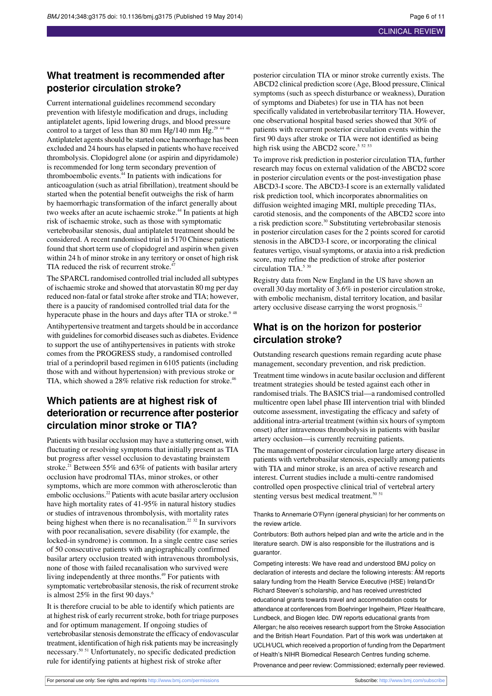# **What treatment is recommended after posterior circulation stroke?**

Current international guidelines recommend secondary prevention with lifestyle modification and drugs, including antiplatelet agents, lipid lowering drugs, and blood pressure control to a target of less than 80 mm Hg/140 mm Hg.<sup>29 44 46</sup> Antiplatelet agents should be started once haemorrhage has been excluded and 24 hours has elapsed in patients who have received thrombolysis. Clopidogrel alone (or aspirin and dipyridamole) is recommended for long term secondary prevention of thromboembolic events.<sup>44</sup> In patients with indications for anticoagulation (such as atrial fibrillation), treatment should be started when the potential benefit outweighs the risk of harm by haemorrhagic transformation of the infarct generally about two weeks after an acute ischaemic stroke.<sup>44</sup> In patients at high risk of ischaemic stroke, such as those with symptomatic vertebrobasilar stenosis, dual antiplatelet treatment should be considered. A recent randomised trial in 5170 Chinese patients found that short term use of clopidogrel and aspirin when given within 24 h of minor stroke in any territory or onset of high risk TIA reduced the risk of recurrent stroke.<sup>47</sup>

The SPARCL randomised controlled trial included allsubtypes of ischaemic stroke and showed that atorvastatin 80 mg per day reduced non-fatal or fatal stroke after stroke and TIA; however, there is a paucity of randomised controlled trial data for the hyperacute phase in the hours and days after TIA or stroke.<sup>9</sup> <sup>48</sup>

Antihypertensive treatment and targets should be in accordance with guidelines for comorbid diseases such as diabetes. Evidence to support the use of antihypertensives in patients with stroke comes from the PROGRESS study, a randomised controlled trial of a perindopril based regimen in 6105 patients (including those with and without hypertension) with previous stroke or TIA, which showed a 28% relative risk reduction for stroke.<sup>46</sup>

# **Which patients are at highest risk of deterioration or recurrence after posterior circulation minor stroke or TIA?**

Patients with basilar occlusion may have a stuttering onset, with fluctuating or resolving symptoms that initially present as TIA but progress after vessel occlusion to devastating brainstem stroke.<sup>21</sup> Between 55% and 63% of patients with basilar artery occlusion have prodromal TIAs, minor strokes, or other symptoms, which are more common with atherosclerotic than embolic occlusions.<sup>22</sup> Patients with acute basilar artery occlusion have high mortality rates of 41-95% in natural history studies or studies of intravenous thrombolysis, with mortality rates being highest when there is no recanalisation.<sup>22 32</sup> In survivors with poor recanalisation, severe disability (for example, the locked-in syndrome) is common. In a single centre case series of 50 consecutive patients with angiographically confirmed basilar artery occlusion treated with intravenous thrombolysis, none of those with failed recanalisation who survived were living independently at three months.<sup>49</sup> For patients with symptomatic vertebrobasilar stenosis, the risk of recurrent stroke is almost  $25\%$  in the first 90 days.<sup>6</sup>

It is therefore crucial to be able to identify which patients are at highest risk of early recurrent stroke, both for triage purposes and for optimum management. If ongoing studies of vertebrobasilar stenosis demonstrate the efficacy of endovascular treatment, identification of high risk patients may be increasingly necessary.<sup>50</sup> <sup>51</sup> Unfortunately, no specific dedicated prediction rule for identifying patients at highest risk of stroke after

posterior circulation TIA or minor stroke currently exists. The ABCD2 clinical prediction score (Age, Blood pressure, Clinical symptoms (such as speech disturbance or weakness), Duration of symptoms and Diabetes) for use in TIA has not been specifically validated in vertebrobasilar territory TIA. However, one observational hospital based series showed that 30% of patients with recurrent posterior circulation events within the first 90 days after stroke or TIA were not identified as being high risk using the ABCD2 score.<sup>5 52 53</sup>

To improve risk prediction in posterior circulation TIA, further research may focus on external validation of the ABCD2 score in posterior circulation events or the post-investigation phase ABCD3-I score. The ABCD3-I score is an externally validated risk prediction tool, which incorporates abnormalities on diffusion weighted imaging MRI, multiple preceding TIAs, carotid stenosis, and the components of the ABCD2 score into a risk prediction score.<sup>30</sup> Substituting vertebrobasilar stenosis in posterior circulation cases for the 2 points scored for carotid stenosis in the ABCD3-I score, or incorporating the clinical features vertigo, visualsymptoms, or ataxia into a risk prediction score, may refine the prediction of stroke after posterior circulation TIA.<sup>5 30</sup>

Registry data from New England in the US have shown an overall 30 day mortality of 3.6% in posterior circulation stroke, with embolic mechanism, distal territory location, and basilar artery occlusive disease carrying the worst prognosis.<sup>12</sup>

# **What is on the horizon for posterior circulation stroke?**

Outstanding research questions remain regarding acute phase management, secondary prevention, and risk prediction.

Treatment time windowsin acute basilar occlusion and different treatment strategies should be tested against each other in randomised trials. The BASICS trial—a randomised controlled multicentre open label phase III intervention trial with blinded outcome assessment, investigating the efficacy and safety of additional intra-arterial treatment (within six hours of symptom onset) after intravenous thrombolysis in patients with basilar artery occlusion—is currently recruiting patients.

The management of posterior circulation large artery disease in patients with vertebrobasilar stenosis, especially among patients with TIA and minor stroke, is an area of active research and interest. Current studies include a multi-centre randomised controlled open prospective clinical trial of vertebral artery stenting versus best medical treatment.<sup>50 51</sup>

Thanks to Annemarie O'Flynn (general physician) for her comments on the review article.

Contributors: Both authors helped plan and write the article and in the literature search. DW is also responsible for the illustrations and is guarantor.

Competing interests: We have read and understood BMJ policy on declaration of interests and declare the following interests: ÁM reports salary funding from the Health Service Executive (HSE) Ireland/Dr Richard Steeven's scholarship, and has received unrestricted educational grants towards travel and accommodation costs for attendance at conferences from Boehringer Ingelheim, Pfizer Healthcare, Lundbeck, and Biogen Idec. DW reports educational grants from Allergan; he also receives research support from the Stroke Association and the British Heart Foundation. Part of this work was undertaken at UCLH/UCL which received a proportion of funding from the Department of Health's NIHR Biomedical Research Centres funding scheme.

Provenance and peer review: Commissioned; externally peer reviewed.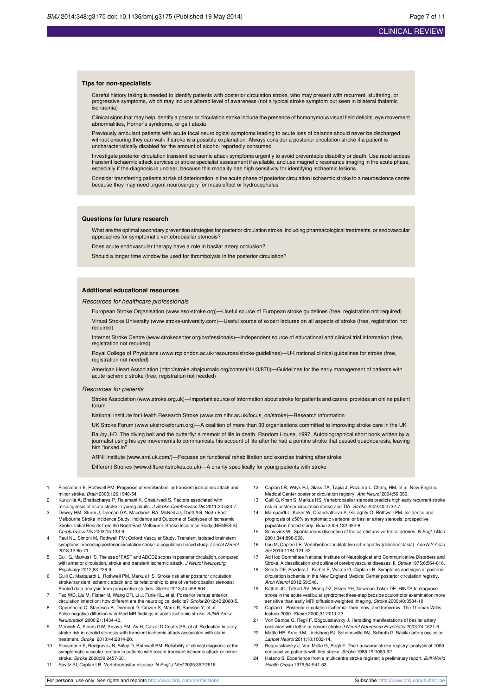#### **Tips for non-specialists**

Careful history taking is needed to identify patients with posterior circulation stroke, who may present with recurrent, stuttering, or progressive symptoms, which may include altered level of awareness (not a typical stroke symptom but seen in bilateral thalamic ischaemia)

Clinical signs that may help identify a posterior circulation stroke include the presence of homonymous visual field deficits, eye movement abnormalities, Horner's syndrome, or gait ataxia

Previously ambulant patients with acute focal neurological symptoms leading to acute loss of balance should never be discharged without ensuring they can walk if stroke is a possible explanation. Always consider a posterior circulation stroke if a patient is uncharacteristically disabled for the amount of alcohol reportedly consumed

Investigate posterior circulation transient ischaemic attack symptoms urgently to avoid preventable disability or death. Use rapid access transient ischaemic attack services or stroke specialist assessment if available, and use magnetic resonance imaging in the acute phase, especially if the diagnosis is unclear, because this modality has high sensitivity for identifying ischaemic lesions

Consider transferring patients at risk of deterioration in the acute phase of posterior circulation ischaemic stroke to a neuroscience centre because they may need urgent neurosurgery for mass effect or hydrocephalus

#### **Questions for future research**

What are the optimal secondary prevention strategies for posterior circulation stroke, including pharmacological treatments, or endovascular approaches for symptomatic vertebrobasilar stenosis?

Does acute endovascular therapy have a role in basilar artery occlusion?

Should a longer time window be used for thrombolysis in the posterior circulation?

#### **Additional educational resources**

Resources for healthcare professionals

European Stroke Organisation ([www.eso-stroke.org](http://www.eso-stroke.org/))—Useful source of European stroke guidelines (free, registration not required)

Virtual Stroke University ([www.stroke-university.com](http://www.stroke-university.com/))—Useful source of expert lectures on all aspects of stroke (free, registration not required)

Internet Stroke Centre [\(www.strokecenter.org/professionals](http://www.strokecenter.org/professionals))—Independent source of educational and clinical trial information (free, registration not required)

Royal College of Physicians ([www.rcplondon.ac.uk/resources/stroke-guidelines](http://www.rcplondon.ac.uk/resources/stroke-guidelines))—UK national clinical guidelines for stroke (free, registration not needed)

American Heart Association (<http://stroke.ahajournals.org/content/44/3/870>)—Guidelines for the early management of patients with acute ischemic stroke (free, registration not needed)

#### Resources for patients

Stroke Association [\(www.stroke.org.uk](http://www.stroke.org.uk/))—Important source of information about stroke for patients and carers; provides an online patient forum

National Institute for Health Research Stroke ([www.crn.nihr.ac.uk/focus\\_on/stroke\)](http://www.crn.nihr.ac.uk/focus_on/stroke)—Research information

UK Stroke Forum ([www.ukstrokeforum.org\)](http://www.ukstrokeforum.org/)—A coalition of more than 30 organisations committed to improving stroke care in the UK

Bauby J-D. The diving bell and the butterfly: a memoir of life in death. Random House, 1997. Autobiographical short book written by a journalist using his eye movements to communicate his account of life after he had a pontine stroke that caused quadriparesis, leaving him "locked in

ARNI Institute [\(www.arni.uk.com/\)](http://www.arni.uk.com/)—Focuses on functional rehabilitation and exercise training after stroke Different Strokes ([www.differentstrokes.co.uk](http://www.differentstrokes.co.uk/))—A charity specifically for young patients with stroke

- 1 Flossmann E, Rothwell PM. Prognosis of vertebrobasilar transient ischaemic attack and minor stroke. Brain 2003;126:1940-54.
- 2 Kuruvilla A, Bhattacharya P, Rajamani K, Chaturvedi S. Factors associated with
- misdiagnosis of acute stroke in young adults. J Stroke Cerebrovasc Dis 2011;20:523-7. 3 Dewey HM, Sturm J, Donnan GA, Macdonell RA, McNeil JJ, Thrift AG; North East Melbourne Stroke Incidence Study. Incidence and Outcome of Subtypes of Ischaemic
- Stroke: Initial Results from the North East Melbourne Stroke Incidence Study (NEMESIS). Cerebrovasc Dis 2003;15:133-9. Paul NL, Simoni M, Rothwell PM; Oxford Vascular Study. Transient isolated brainstem
- symptoms preceding posterior circulation stroke: a population-based study. Lancet Neurol 2013;12:65-71.
- 5 Gulli G, Markus HS. The use of FAST and ABCD2 scores in posterior circulation, compared with anterior circulation, stroke and transient ischemic attack. J Neurol Neurosurg Psychiatry 2012;83:228-9.
- 6 Gulli G, Marquardt L, Rothwell PM, Markus HS. Stroke risk after posterior circulation stroke/transient ischemic attack and its relationship to site of vertebrobasilar stenosis: Pooled data analysis from prospective studies. Stroke 2013;44:598-604.
- 7 Tao WD, Liu M, Fisher M, Wang DR, Li J, Furie KL, et al. Posterior versus anterior circulation infarction: how different are the neurological deficits? Stroke 2012;43:2060-5.
- 8 Oppenheim C, Stanescu R, Dormont D, Crozier S, Marro B, Samson Y, et al. False-negative diffusion-weighted MR findings in acute ischemic stroke. AJNR Am J Neuroradiol 2000;21:1434-40.
- Merwick Á, Albers GW, Arsava EM, Ay H, Calvet D, Coutts SB, et al. Reduction in early stroke risk in carotid stenosis with transient ischemic attack associated with statin treatment. Stroke 2013;44:2814-20.
- 10 Flossmann E, Redgrave JN, Briley D, Rothwell PM. Reliability of clinical diagnosis of the symptomatic vascular territory in patients with recent transient ischemic attack or minor stroke. Stroke 2008;39:2457-60.
- 11 Savitz SI, Caplan LR. Vertebrobasilar disease. N Engl J Med 2005;352:2618.
- 12 Caplan LR, Wityk RJ, Glass TA, Tapia J, Pazdera L, Chang HM, et al. New England Medical Center posterior circulation registry. Ann Neurol 2004;56:389.
- 13 Gulli G, Khan S, Markus HS. Vertebrobasilar stenosis predicts high early recurrent stroke risk in posterior circulation stroke and TIA. Stroke 2009;40:2732-7.
- 14 Marquardt L, Kuker W, Chandratheva A, Geraghty O, Rothwell PM. Incidence and prognosis of ≥50% symptomatic vertebral or basilar artery stenosis: prospective population-based study. Brain 2009;132:982-8.
- 15 Schievink Wl. Spontaneous dissection of the carotid and vertebral arteries. N Engl J Med 2001;344:898-906.
- 16 Lou M, Caplan LR. Vertebrobasilar dilatative arteriopathy (dolichoectasia). Ann N Y Acad Sci 2010;1184:121-33.
- 17 Ad Hoc Committee National Institute of Neurological and Communicative Disorders and Stroke. A classification and outline of cerebrovascular diseases. II. Stroke 1975;6:564-616.
- 18 Searls DE, Pazdera L, Korbel E, Vysata O, Caplan LR. Symptoms and signs of posterior circulation ischemia in the New England Medical Center posterior circulation registry. Arch Neurol 2012;69:346.
- Kattah JC, Talkad AV, Wang DZ, Hsieh YH, Newman-Toker DE. HINTS to diagnose stroke in the acute vestibular syndrome: three-step bedside oculomotor examination more<br>sensitive than early MRI diffusion-weighted imaging. *Stroke* 2009;40:3504-10. 20 Caplan L. Posterior circulation ischemia: then, now, and tomorrow. The Thomas Willis
- lecture-2000. Stroke 2000;31:2011-23.
- 21 Von Campe G, Regli F, Bogousslavsky J. Heralding manifestations of basilar artery occlusion with lethal or severe stroke J Neurol Neurosurg Psychiatry 2003;74:1621-6.
- 22 Mattle HP, Arnold M, Lindsberg PJ, Schonewille WJ, Schroth G. Basilar artery occlusion. Lancet Neurol 2011;10:1002-14.
- 23 Bogousslavsky J, Van Melle G, Regli F. The Lausanne stroke registry: analysis of 1000 consecutive patients with first stroke. Stroke 1988;19:1083-92.
- 24 Hatano S. Experience from a multicentre stroke register: a preliminary report. Bull World Health Organ 1976;54:541-53.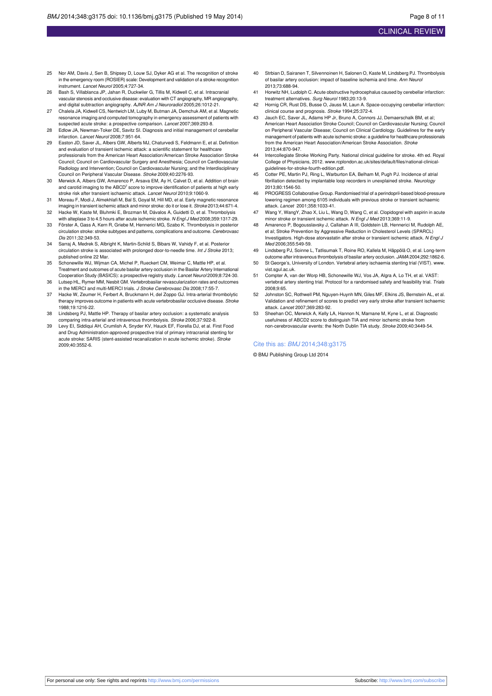- 25 Nor AM, Davis J, Sen B, Shipsey D, Louw SJ, Dyker AG et al. The recognition of stroke in the emergency room (ROSIER) scale: Development and validation of a stroke recognition instrument. Lancet Neurol 2005;4:727-34.
- 26 Bash S, Villablanca JP, Jahan R, Duckwiler G, Tillis M, Kidwell C, et al. Intracranial vascular stenosis and occlusive disease: evaluation with CT angiography, MR angiography, and digital subtraction angiography. AJNR Am J Neuroradiol 2005;26:1012-21.
- 27 Chalela JA, Kidwell CS, Nentwich LM, Luby M, Butman JA, Demchuk AM, et al. Magnetic resonance imaging and computed tomography in emergency assessment of patients with suspected acute stroke: a prospective comparison. Lancet 2007;369:293-8.
- 28 Edlow JA, Newman-Toker DE, Savitz SI. Diagnosis and initial management of cerebellar infarction. Lancet Neurol 2008;7:951-64. 29 Easton JD, Saver JL, Albers GW, Alberts MJ, Chaturvedi S, Feldmann E, et al. Definition
- and evaluation of transient ischemic attack: a scientific statement for healthcare professionals from the American Heart Association/American Stroke Association Stroke Council; Council on Cardiovascular Surgery and Anesthesia; Council on Cardiovascular Radiology and Intervention; Council on Cardiovascular Nursing; and the Interdisciplinary Council on Peripheral Vascular Disease. Stroke 2009;40:2276-93.
- 30 Merwick A, Albers GW, Amarenco P, Arsava EM, Ay H, Calvet D, et al. Addition of brain and carotid imaging to the  $ABCD<sup>2</sup>$  score to improve identification of patients at high early stroke risk after transient ischaemic attack. Lancet Neurol 2010;9:1060-9.
- 31 Moreau F, Modi J, Almekhlafi M, Bal S, Goyal M, Hill MD, et al. Early magnetic resonance imaging in transient ischemic attack and minor stroke: do it or lose it. Stroke 2013;44:671-4.
- 32 Hacke W, Kaste M, Bluhmki E, Brozman M, Dávalos A, Guidetti D, et al. Thrombolysis with alteplase 3 to 4.5 hours after acute ischemic stroke. N Engl J Med 2008;359:1317-29. 33 Förster A, Gass A, Kern R, Griebe M, Hennerici MG, Szabo K. Thrombolysis in posterior
- circulation stroke: stroke subtypes and patterns, complications and outcome. Cerebrovasc Dis 2011;32:349-53. 34 Sarraj A, Medrek S, Albright K, Martin-Schild S, Bibars W, Vahidy F, et al. Posterior
- circulation stroke is associated with prolonged door-to-needle time. Int J Stroke 2013; published online 22 Mar. 35 Schonewille WJ, Wijman CA, Michel P, Rueckert CM, Weimar C, Mattle HP, et al.
- Treatment and outcomes of acute basilar artery occlusion in the Basilar Artery International Cooperation Study (BASICS): a prospective registry study. Lancet Neurol 2009;8:724-30.
- 36 Lutsep HL, Rymer MM, Nesbit GM. Vertebrobasilar revascularization rates and outcomes in the MERCI and multi-MERCI trials. J Stroke Cerebrovasc Dis 2008;17:55-7.
- 37 Hacke W, Zeumer H, Ferbert A, Bruckmann H, del Zoppo GJ. Intra-arterial thrombolytic therapy improves outcome in patients with acute vertebrobasilar occlusive disease. Stroke 1988;19:1216-22.
- 38 Lindsberg PJ, Mattle HP. Therapy of basilar artery occlusion: a systematic analysis comparing intra-arterial and intravenous thrombolysis. Stroke 2006;37:922-8.
- 39 Levy EI, Siddiqui AH, Crumlish A, Snyder KV, Hauck EF, Fiorella DJ, et al. First Food and Drug Administration-approved prospective trial of primary intracranial stenting for acute stroke: SARIS (stent-assisted recanalization in acute ischemic stroke). Stroke 2009;40:3552-6.
- 40 Strbian D, Sairanen T, Silvennoinen H, Salonen O, Kaste M, Lindsberg PJ. Thrombolysis of basilar artery occlusion: impact of baseline ischemia and time. Ann Neurol 2013;73:688-94.
- 41 Horwitz NH, Ludolph C. Acute obstructive hydrocephalus caused by cerebellar infarction: treatment alternatives. Surg Neurol 1983;20:13-9.
- 42 Hornig CR, Rust DS, Busse O, Jauss M, Laun A. Space-occupying cerebellar infarction: clinical course and prognosis. Stroke 1994;25:372-4.
- 43 Jauch EC, Saver JL, Adams HP Jr, Bruno A, Connors JJ, Demaerschalk BM, et al; American Heart Association Stroke Council; Council on Cardiovascular Nursing; Council on Peripheral Vascular Disease; Council on Clinical Cardiology. Guidelines for the early management of patients with acute ischemic stroke: a guideline for healthcare professionals from the American Heart Association/American Stroke Association. Stroke 2013;44:870-947.
- Intercollegiate Stroke Working Party. National clinical guideline for stroke. 4th ed. Royal College of Physicians, 2012. [www.rcplondon.ac.uk/sites/default/files/national-clinical](http://www.rcplondon.ac.uk/sites/default/files/national-clinical-guidelines-for-stroke-fourth-edition.pdf)[guidelines-for-stroke-fourth-edition.pdf.](http://www.rcplondon.ac.uk/sites/default/files/national-clinical-guidelines-for-stroke-fourth-edition.pdf)
- 45 Cotter PE, Martin PJ, Ring L, Warburton EA, Belham M, Pugh PJ. Incidence of atrial fibrillation detected by implantable loop recorders in unexplained stroke. Neurology 2013;80:1546-50.
- 46 PROGRESS Collaborative Group. Randomised trial of a perindopril-based blood-pressure lowering regimen among 6105 individuals with previous stroke or transient ischaemic attack. Lancet 2001;358:1033-41.
- 47 Wang Y, WangY, Zhao X, Liu L, Wang D, Wang C, et al. Clopidogrel with aspirin in acute minor stroke or transient ischemic attack. N Engl J Med 2013;369:11-9.
- 48 Amarenco P, Bogousslavsky J, Callahan A III, Goldstein LB, Hennerici M, Rudolph AE, et al; Stroke Prevention by Aggressive Reduction in Cholesterol Levels (SPARCL) Investigators. High-dose atorvastatin after stroke or transient ischemic attack. N Engl J Med 2006;355:549-59.
- 49 Lindsberg PJ, Soinne L, Tatlisumak T, Roine RO, Kallela M, Häppölä O, et al. Long-term outcome after intravenous thrombolysis of basilar artery occlusion. JAMA 2004;292:1862-6.
- 50 St George's, University of London. Vertebral artery ischaemia stenting trial (VIST). [www.](http://www.vist.sgul.ac.uk) [vist.sgul.ac.uk](http://www.vist.sgul.ac.uk).
- Compter A, van der Worp HB, Schonewille WJ, Vos JA, Algra A, Lo TH, et al. VAST: vertebral artery stenting trial. Protocol for a randomised safety and feasibility trial. Trials 2008;9:65.
- Johnston SC, Rothwell PM, Nguyen-Huynh MN, Giles MF, Elkins JS, Bernstein AL, et al. Validation and refinement of scores to predict very early stroke after transient ischaemic attack. Lancet 2007;369:283-92.
- 53 Sheehan OC, Merwick A, Kelly LA, Hannon N, Marnane M, Kyne L, et al. Diagnostic usefulness of ABCD2 score to distinguish TIA and minor ischemic stroke from non-cerebrovascular events: the North Dublin TIA study. Stroke 2009;40:3449-54.

#### Cite this as: BMJ 2014;348:g3175

© BMJ Publishing Group Ltd 2014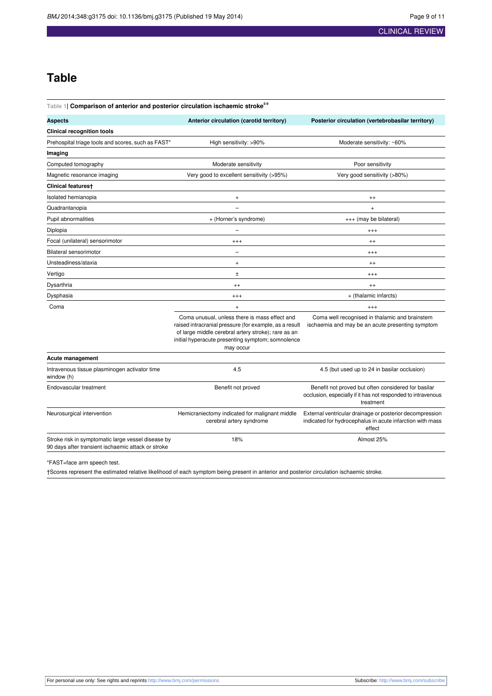## CLINICAL REVIEW

# **Table**

<span id="page-8-0"></span>

| Table 1  Comparison of anterior and posterior circulation ischaemic stroke <sup>5-9</sup>                |                                                                                                                                                                                                                                  |                                                                                                                                  |
|----------------------------------------------------------------------------------------------------------|----------------------------------------------------------------------------------------------------------------------------------------------------------------------------------------------------------------------------------|----------------------------------------------------------------------------------------------------------------------------------|
| <b>Aspects</b>                                                                                           | Anterior circulation (carotid territory)                                                                                                                                                                                         | Posterior circulation (vertebrobasilar territory)                                                                                |
| <b>Clinical recognition tools</b>                                                                        |                                                                                                                                                                                                                                  |                                                                                                                                  |
| Prehospital triage tools and scores, such as FAST*                                                       | High sensitivity: >90%                                                                                                                                                                                                           | Moderate sensitivity: ~60%                                                                                                       |
| Imaging                                                                                                  |                                                                                                                                                                                                                                  |                                                                                                                                  |
| Computed tomography                                                                                      | Moderate sensitivity                                                                                                                                                                                                             | Poor sensitivity                                                                                                                 |
| Magnetic resonance imaging                                                                               | Very good to excellent sensitivity (>95%)                                                                                                                                                                                        | Very good sensitivity (>80%)                                                                                                     |
| <b>Clinical featurest</b>                                                                                |                                                                                                                                                                                                                                  |                                                                                                                                  |
| Isolated hemianopia                                                                                      | $\ddot{}$                                                                                                                                                                                                                        | $^{++}$                                                                                                                          |
| Quadrantanopia                                                                                           |                                                                                                                                                                                                                                  | $\ddot{}$                                                                                                                        |
| Pupil abnormalities                                                                                      | + (Horner's syndrome)                                                                                                                                                                                                            | +++ (may be bilateral)                                                                                                           |
| Diplopia                                                                                                 |                                                                                                                                                                                                                                  | $^{+++}$                                                                                                                         |
| Focal (unilateral) sensorimotor                                                                          | $^{+++}$                                                                                                                                                                                                                         | $^{++}$                                                                                                                          |
| <b>Bilateral sensorimotor</b>                                                                            | $\overline{\phantom{0}}$                                                                                                                                                                                                         | $^{+++}$                                                                                                                         |
| Unsteadiness/ataxia                                                                                      | $\ddot{}$                                                                                                                                                                                                                        | $^{++}$                                                                                                                          |
| Vertigo                                                                                                  | $\pm$                                                                                                                                                                                                                            | $^{+++}$                                                                                                                         |
| Dysarthria                                                                                               | $^{++}$                                                                                                                                                                                                                          | $^{++}$                                                                                                                          |
| Dysphasia                                                                                                | $^{+++}$                                                                                                                                                                                                                         | + (thalamic infarcts)                                                                                                            |
| Coma                                                                                                     | $+$                                                                                                                                                                                                                              | $^{++}$                                                                                                                          |
|                                                                                                          | Coma unusual, unless there is mass effect and<br>raised intracranial pressure (for example, as a result<br>of large middle cerebral artery stroke); rare as an<br>initial hyperacute presenting symptom; somnolence<br>may occur | Coma well recognised in thalamic and brainstem<br>ischaemia and may be an acute presenting symptom                               |
| Acute management                                                                                         |                                                                                                                                                                                                                                  |                                                                                                                                  |
| Intravenous tissue plasminogen activator time<br>window (h)                                              | 4.5                                                                                                                                                                                                                              | 4.5 (but used up to 24 in basilar occlusion)                                                                                     |
| Endovascular treatment                                                                                   | Benefit not proved                                                                                                                                                                                                               | Benefit not proved but often considered for basilar<br>occlusion, especially if it has not responded to intravenous<br>treatment |
| Neurosurgical intervention                                                                               | Hemicraniectomy indicated for malignant middle<br>cerebral artery syndrome                                                                                                                                                       | External ventricular drainage or posterior decompression<br>indicated for hydrocephalus in acute infarction with mass<br>effect  |
| Stroke risk in symptomatic large vessel disease by<br>90 days after transient ischaemic attack or stroke | 18%                                                                                                                                                                                                                              | Almost 25%                                                                                                                       |

\*FAST=face arm speech test.

†Scores represent the estimated relative likelihood of each symptom being present in anterior and posterior circulation ischaemic stroke.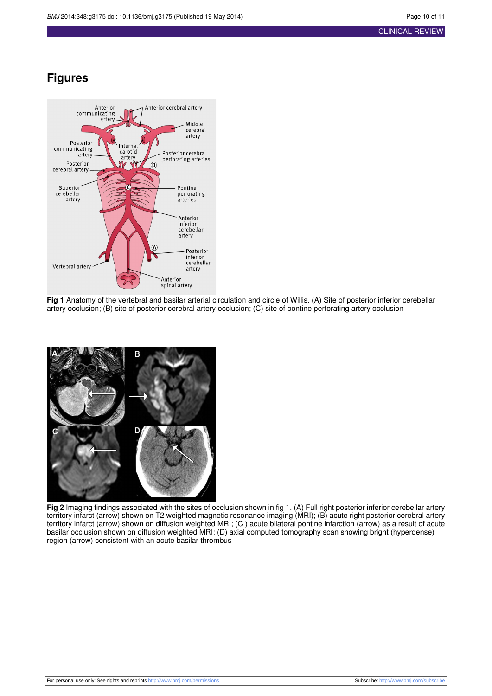### CLINICAL REVIEW

# **Figures**

<span id="page-9-0"></span>

<span id="page-9-1"></span>**Fig 1** Anatomy of the vertebral and basilar arterial circulation and circle of Willis. (A) Site of posterior inferior cerebellar artery occlusion; (B) site of posterior cerebral artery occlusion; (C) site of pontine perforating artery occlusion



**Fig 2** Imaging findings associated with the sites of occlusion shown in fig 1. (A) Full right posterior inferior cerebellar artery territory infarct (arrow) shown on T2 weighted magnetic resonance imaging (MRI); (B) acute right posterior cerebral artery territory infarct (arrow) shown on diffusion weighted MRI; (C ) acute bilateral pontine infarction (arrow) as a result of acute basilar occlusion shown on diffusion weighted MRI; (D) axial computed tomography scan showing bright (hyperdense) region (arrow) consistent with an acute basilar thrombus